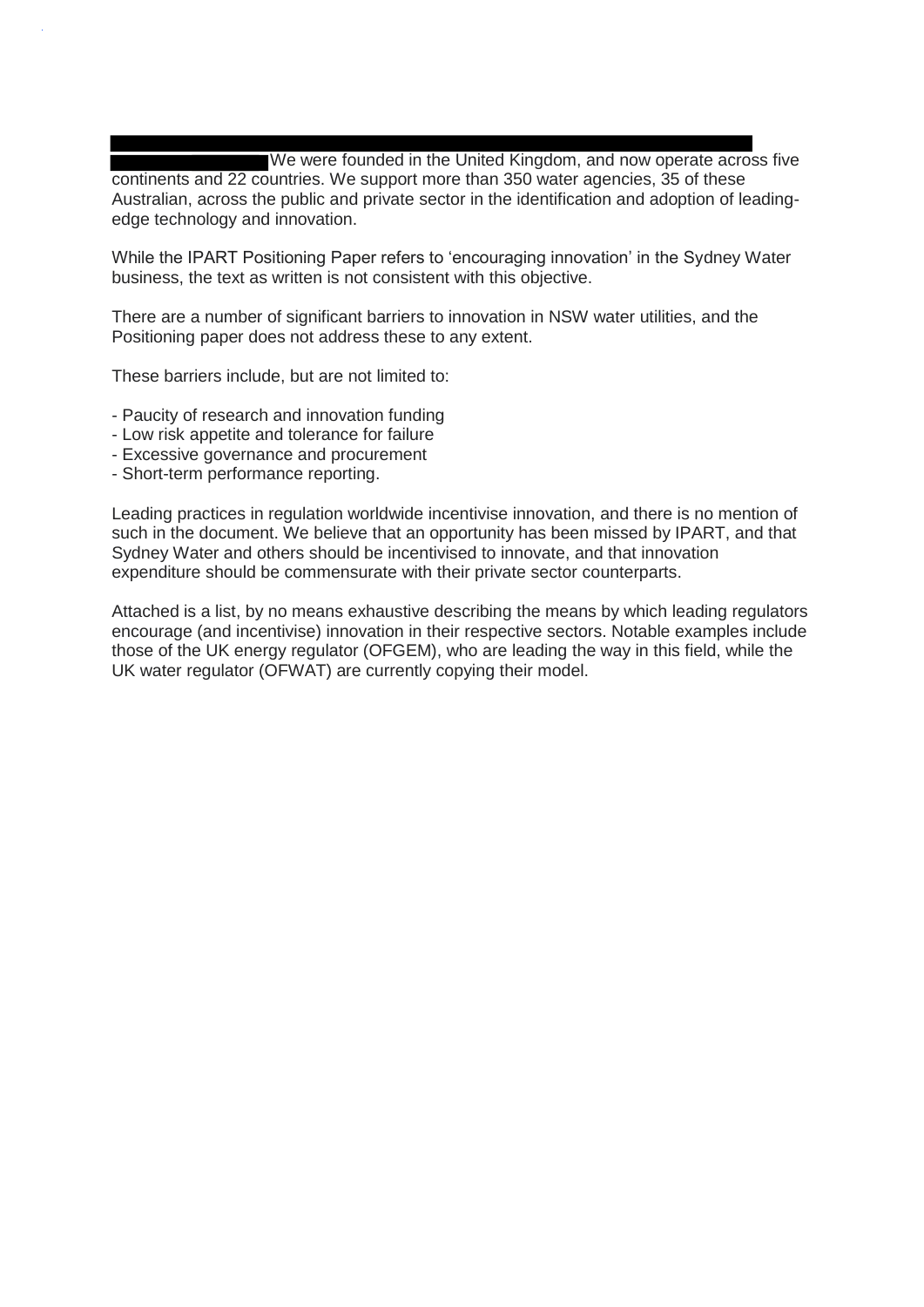We were founded in the United Kingdom, and now operate across five continents and 22 countries. We support more than 350 water agencies, 35 of these Australian, across the public and private sector in the identification and adoption of leadingedge technology and innovation.

While the IPART Positioning Paper refers to 'encouraging innovation' in the Sydney Water business, the text as written is not consistent with this objective.

There are a number of significant barriers to innovation in NSW water utilities, and the Positioning paper does not address these to any extent.

These barriers include, but are not limited to:

- Paucity of research and innovation funding
- Low risk appetite and tolerance for failure
- Excessive governance and procurement
- Short-term performance reporting.

Leading practices in regulation worldwide incentivise innovation, and there is no mention of such in the document. We believe that an opportunity has been missed by IPART, and that Sydney Water and others should be incentivised to innovate, and that innovation expenditure should be commensurate with their private sector counterparts.

Attached is a list, by no means exhaustive describing the means by which leading regulators encourage (and incentivise) innovation in their respective sectors. Notable examples include those of the UK energy regulator (OFGEM), who are leading the way in this field, while the UK water regulator (OFWAT) are currently copying their model.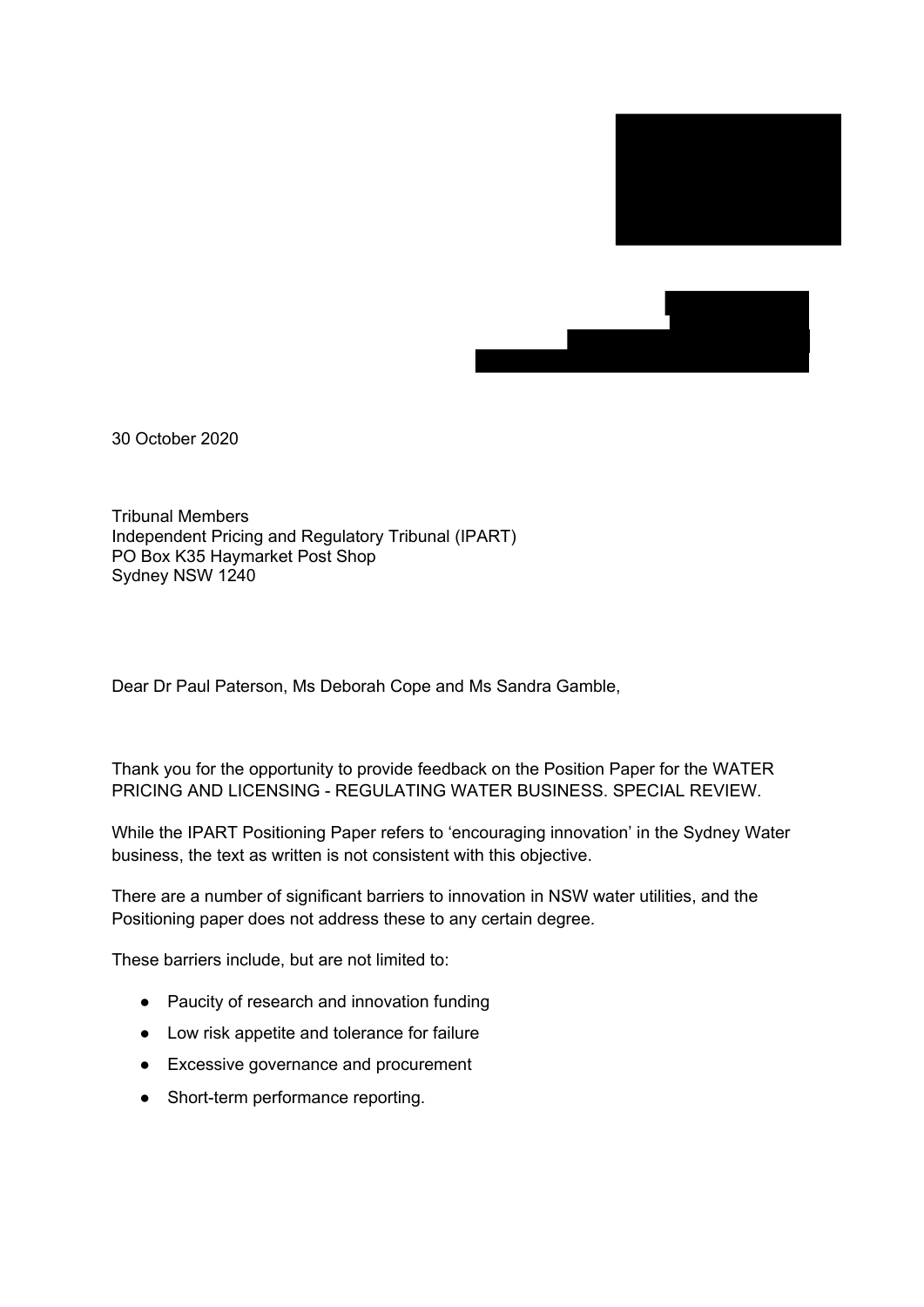



30 October 2020

Tribunal Members Independent Pricing and Regulatory Tribunal (IPART) PO Box K35 Haymarket Post Shop Sydney NSW 1240

Dear Dr Paul Paterson, Ms Deborah Cope and Ms Sandra Gamble,

Thank you for the opportunity to provide feedback on the Position Paper for the WATER PRICING AND LICENSING - REGULATING WATER BUSINESS. SPECIAL REVIEW.

While the IPART Positioning Paper refers to 'encouraging innovation' in the Sydney Water business, the text as written is not consistent with this objective.

There are a number of significant barriers to innovation in NSW water utilities, and the Positioning paper does not address these to any certain degree.

These barriers include, but are not limited to:

- Paucity of research and innovation funding
- Low risk appetite and tolerance for failure
- Excessive governance and procurement
- Short-term performance reporting.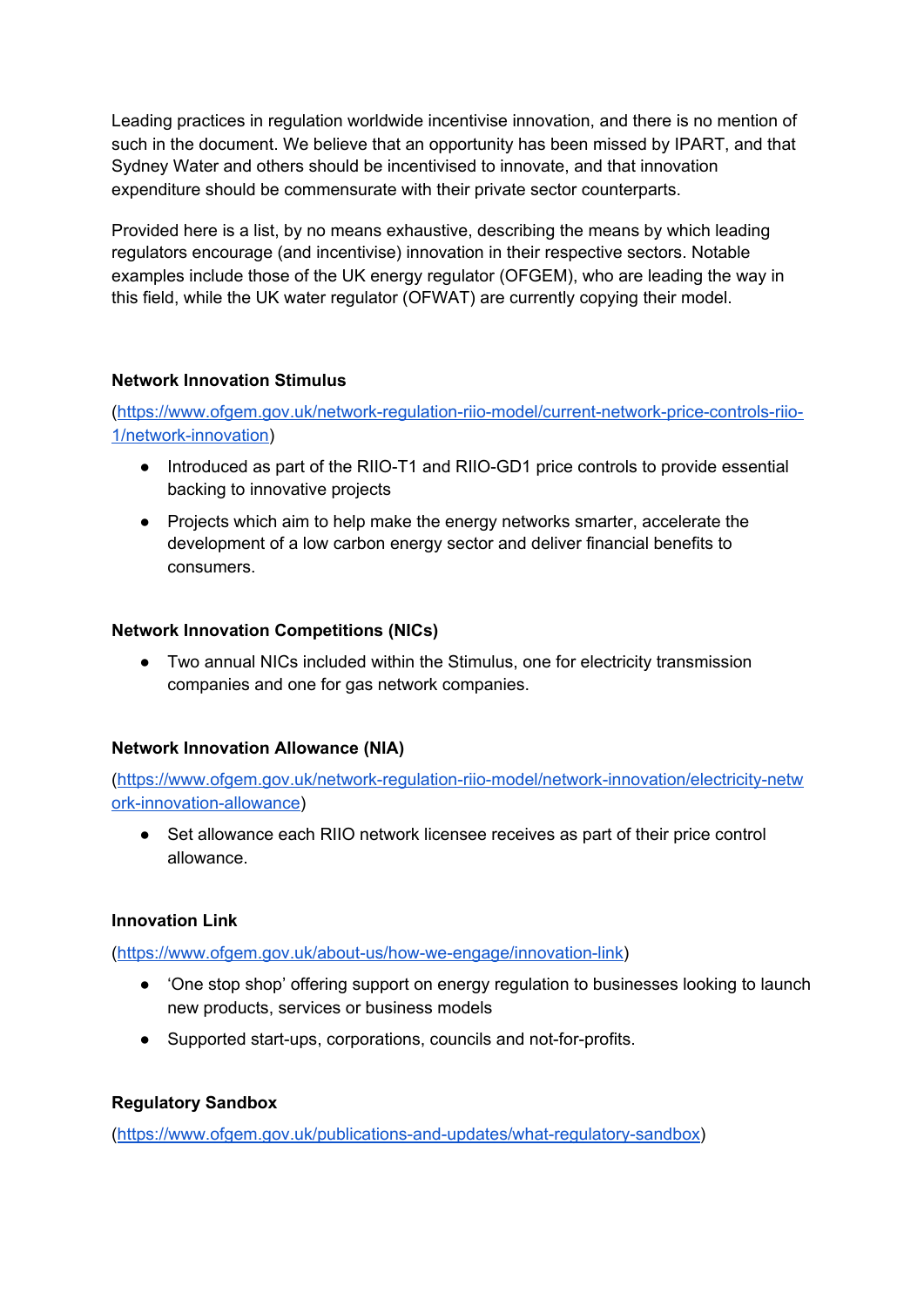Leading practices in regulation worldwide incentivise innovation, and there is no mention of such in the document. We believe that an opportunity has been missed by IPART, and that Sydney Water and others should be incentivised to innovate, and that innovation expenditure should be commensurate with their private sector counterparts.

Provided here is a list, by no means exhaustive, describing the means by which leading regulators encourage (and incentivise) innovation in their respective sectors. Notable examples include those of the UK energy regulator (OFGEM), who are leading the way in this field, while the UK water regulator (OFWAT) are currently copying their model.

## **Network Innovation Stimulus**

([https://www.ofgem.gov.uk/network-regulation-riio-model/current-network-price-controls-riio-](https://www.ofgem.gov.uk/network-regulation-riio-model/current-network-price-controls-riio-1/network-innovation)[1/network-innovation](https://www.ofgem.gov.uk/network-regulation-riio-model/current-network-price-controls-riio-1/network-innovation))

- Introduced as part of the RIIO-T1 and RIIO-GD1 price controls to provide essential backing to innovative projects
- Projects which aim to help make the energy networks smarter, accelerate the development of a low carbon energy sector and deliver financial benefits to consumers.

## **Network Innovation Competitions (NICs)**

● Two annual NICs included within the Stimulus, one for electricity transmission companies and one for gas network companies.

# **Network Innovation Allowance (NIA)**

([https://www.ofgem.gov.uk/network-regulation-riio-model/network-innovation/electricity-netw](https://www.ofgem.gov.uk/network-regulation-riio-model/network-innovation/electricity-network-innovation-allowance) [ork-innovation-allowance\)](https://www.ofgem.gov.uk/network-regulation-riio-model/network-innovation/electricity-network-innovation-allowance)

• Set allowance each RIIO network licensee receives as part of their price control allowance.

### **Innovation Link**

(<https://www.ofgem.gov.uk/about-us/how-we-engage/innovation-link>)

- 'One stop shop' offering support on energy regulation to businesses looking to launch new products, services or business models
- Supported start-ups, corporations, councils and not-for-profits.

# **Regulatory Sandbox**

([https://www.ofgem.gov.uk/publications-and-updates/what-regulatory-sandbox\)](https://www.ofgem.gov.uk/publications-and-updates/what-regulatory-sandbox)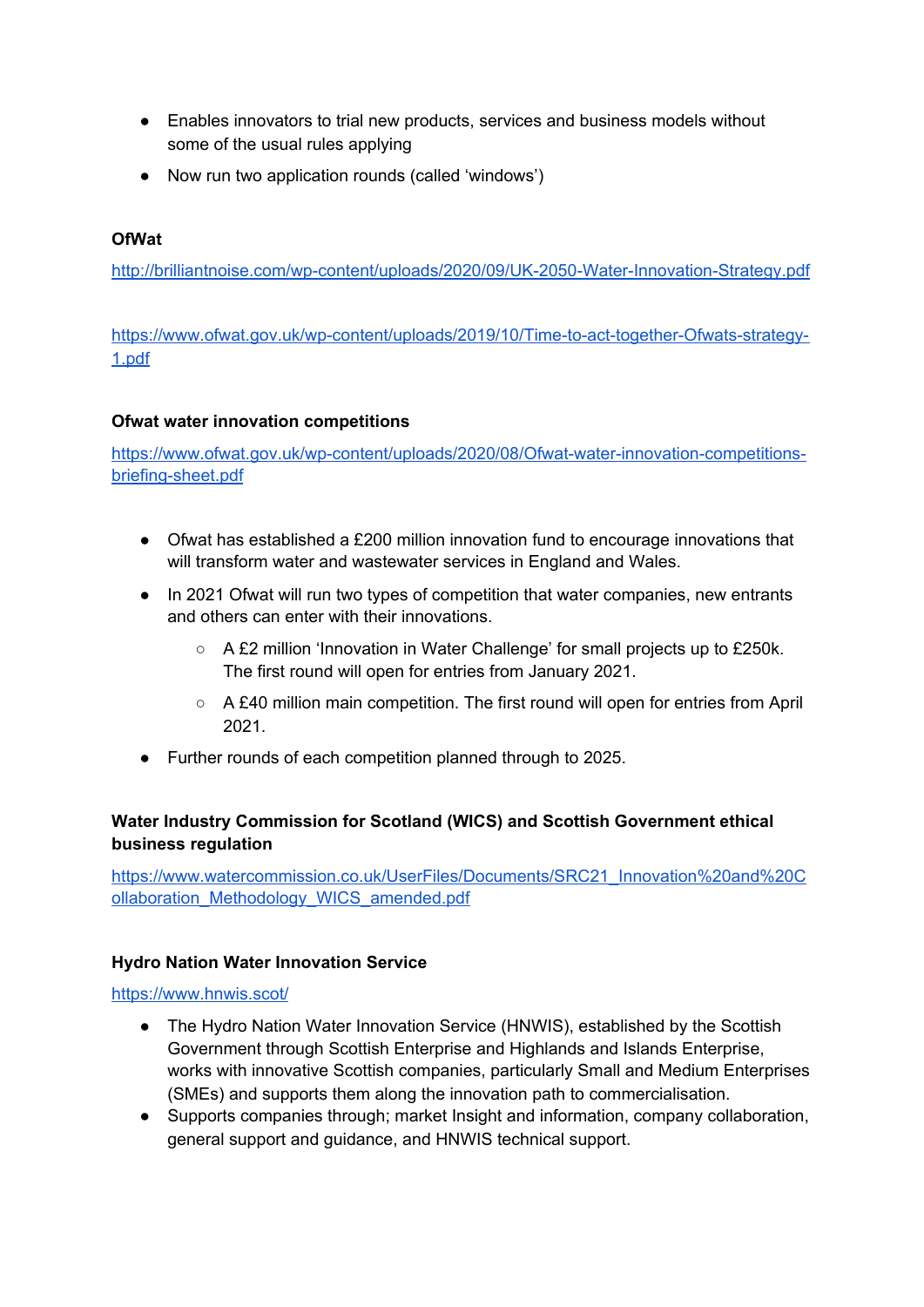- Enables innovators to trial new products, services and business models without some of the usual rules applying
- Now run two application rounds (called 'windows')

# **OfWat**

<http://brilliantnoise.com/wp-content/uploads/2020/09/UK-2050-Water-Innovation-Strategy.pdf>

[https://www.ofwat.gov.uk/wp-content/uploads/2019/10/Time-to-act-together-Ofwats-strategy-](https://www.ofwat.gov.uk/wp-content/uploads/2019/10/Time-to-act-together-Ofwats-strategy-1.pdf)[1.pdf](https://www.ofwat.gov.uk/wp-content/uploads/2019/10/Time-to-act-together-Ofwats-strategy-1.pdf)

## **Ofwat water innovation competitions**

[https://www.ofwat.gov.uk/wp-content/uploads/2020/08/Ofwat-water-innovation-competitions](https://www.ofwat.gov.uk/wp-content/uploads/2020/08/Ofwat-water-innovation-competitions-briefing-sheet.pdf)[briefing-sheet.pdf](https://www.ofwat.gov.uk/wp-content/uploads/2020/08/Ofwat-water-innovation-competitions-briefing-sheet.pdf)

- Ofwat has established a £200 million innovation fund to encourage innovations that will transform water and wastewater services in England and Wales.
- In 2021 Ofwat will run two types of competition that water companies, new entrants and others can enter with their innovations.
	- A £2 million 'Innovation in Water Challenge' for small projects up to £250k. The first round will open for entries from January 2021.
	- A £40 million main competition. The first round will open for entries from April 2021.
- Further rounds of each competition planned through to 2025.

# **Water Industry Commission for Scotland (WICS) and Scottish Government ethical business regulation**

[https://www.watercommission.co.uk/UserFiles/Documents/SRC21\\_Innovation%20and%20C](https://www.watercommission.co.uk/UserFiles/Documents/SRC21_Innovation%20and%20Collaboration_Methodology_WICS_amended.pdf) [ollaboration\\_Methodology\\_WICS\\_amended.pdf](https://www.watercommission.co.uk/UserFiles/Documents/SRC21_Innovation%20and%20Collaboration_Methodology_WICS_amended.pdf)

### **Hydro Nation Water Innovation Service**

### <https://www.hnwis.scot/>

- The Hydro Nation Water Innovation Service (HNWIS), established by the Scottish Government through Scottish Enterprise and Highlands and Islands Enterprise, works with innovative Scottish companies, particularly Small and Medium Enterprises (SMEs) and supports them along the innovation path to commercialisation.
- Supports companies through; market Insight and information, company collaboration, general support and guidance, and HNWIS technical support.